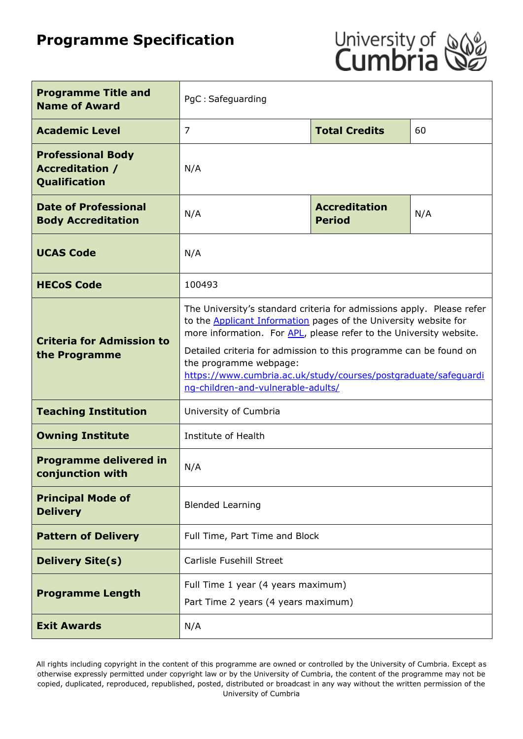# **Programme Specification**



| <b>Programme Title and</b><br><b>Name of Award</b>                  | PgC: Safeguarding                                                                                                                                                                                                                                                                                                                                                                                                              |                                       |     |
|---------------------------------------------------------------------|--------------------------------------------------------------------------------------------------------------------------------------------------------------------------------------------------------------------------------------------------------------------------------------------------------------------------------------------------------------------------------------------------------------------------------|---------------------------------------|-----|
| <b>Academic Level</b>                                               | 7                                                                                                                                                                                                                                                                                                                                                                                                                              | <b>Total Credits</b>                  | 60  |
| <b>Professional Body</b><br><b>Accreditation /</b><br>Qualification | N/A                                                                                                                                                                                                                                                                                                                                                                                                                            |                                       |     |
| <b>Date of Professional</b><br><b>Body Accreditation</b>            | N/A                                                                                                                                                                                                                                                                                                                                                                                                                            | <b>Accreditation</b><br><b>Period</b> | N/A |
| <b>UCAS Code</b>                                                    | N/A                                                                                                                                                                                                                                                                                                                                                                                                                            |                                       |     |
| <b>HECoS Code</b>                                                   | 100493                                                                                                                                                                                                                                                                                                                                                                                                                         |                                       |     |
| <b>Criteria for Admission to</b><br>the Programme                   | The University's standard criteria for admissions apply. Please refer<br>to the <b>Applicant Information</b> pages of the University website for<br>more information. For APL, please refer to the University website.<br>Detailed criteria for admission to this programme can be found on<br>the programme webpage:<br>https://www.cumbria.ac.uk/study/courses/postgraduate/safequardi<br>ng-children-and-vulnerable-adults/ |                                       |     |
| <b>Teaching Institution</b>                                         | University of Cumbria                                                                                                                                                                                                                                                                                                                                                                                                          |                                       |     |
| <b>Owning Institute</b>                                             | Institute of Health                                                                                                                                                                                                                                                                                                                                                                                                            |                                       |     |
| <b>Programme delivered in</b><br>conjunction with                   | N/A                                                                                                                                                                                                                                                                                                                                                                                                                            |                                       |     |
| <b>Principal Mode of</b><br><b>Delivery</b>                         | <b>Blended Learning</b>                                                                                                                                                                                                                                                                                                                                                                                                        |                                       |     |
| <b>Pattern of Delivery</b>                                          | Full Time, Part Time and Block                                                                                                                                                                                                                                                                                                                                                                                                 |                                       |     |
| <b>Delivery Site(s)</b>                                             | <b>Carlisle Fusehill Street</b>                                                                                                                                                                                                                                                                                                                                                                                                |                                       |     |
| <b>Programme Length</b>                                             | Full Time 1 year (4 years maximum)<br>Part Time 2 years (4 years maximum)                                                                                                                                                                                                                                                                                                                                                      |                                       |     |
| <b>Exit Awards</b>                                                  | N/A                                                                                                                                                                                                                                                                                                                                                                                                                            |                                       |     |

All rights including copyright in the content of this programme are owned or controlled by the University of Cumbria. Except as otherwise expressly permitted under copyright law or by the University of Cumbria, the content of the programme may not be copied, duplicated, reproduced, republished, posted, distributed or broadcast in any way without the written permission of the University of Cumbria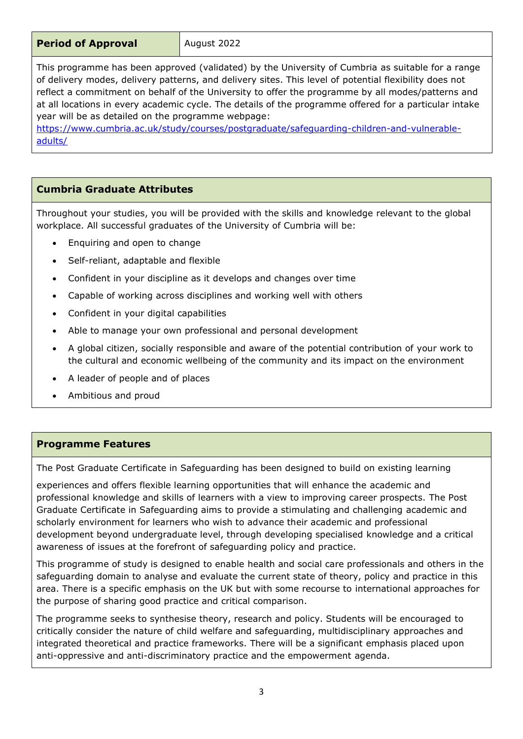This programme has been approved (validated) by the University of Cumbria as suitable for a range of delivery modes, delivery patterns, and delivery sites. This level of potential flexibility does not reflect a commitment on behalf of the University to offer the programme by all modes/patterns and at all locations in every academic cycle. The details of the programme offered for a particular intake year will be as detailed on the programme webpage:

[https://www.cumbria.ac.uk/study/courses/postgraduate/safeguarding-children-and-vulnerable](https://www.cumbria.ac.uk/study/courses/postgraduate/safeguarding-children-and-vulnerable-adults/)[adults/](https://www.cumbria.ac.uk/study/courses/postgraduate/safeguarding-children-and-vulnerable-adults/)

# **Cumbria Graduate Attributes**

Throughout your studies, you will be provided with the skills and knowledge relevant to the global workplace. All successful graduates of the University of Cumbria will be:

- Enquiring and open to change
- Self-reliant, adaptable and flexible
- Confident in your discipline as it develops and changes over time
- Capable of working across disciplines and working well with others
- Confident in your digital capabilities
- Able to manage your own professional and personal development
- A global citizen, socially responsible and aware of the potential contribution of your work to the cultural and economic wellbeing of the community and its impact on the environment
- A leader of people and of places
- Ambitious and proud

# **Programme Features**

The Post Graduate Certificate in Safeguarding has been designed to build on existing learning

experiences and offers flexible learning opportunities that will enhance the academic and professional knowledge and skills of learners with a view to improving career prospects. The Post Graduate Certificate in Safeguarding aims to provide a stimulating and challenging academic and scholarly environment for learners who wish to advance their academic and professional development beyond undergraduate level, through developing specialised knowledge and a critical awareness of issues at the forefront of safeguarding policy and practice.

This programme of study is designed to enable health and social care professionals and others in the safeguarding domain to analyse and evaluate the current state of theory, policy and practice in this area. There is a specific emphasis on the UK but with some recourse to international approaches for the purpose of sharing good practice and critical comparison.

The programme seeks to synthesise theory, research and policy. Students will be encouraged to critically consider the nature of child welfare and safeguarding, multidisciplinary approaches and integrated theoretical and practice frameworks. There will be a significant emphasis placed upon anti-oppressive and anti-discriminatory practice and the empowerment agenda.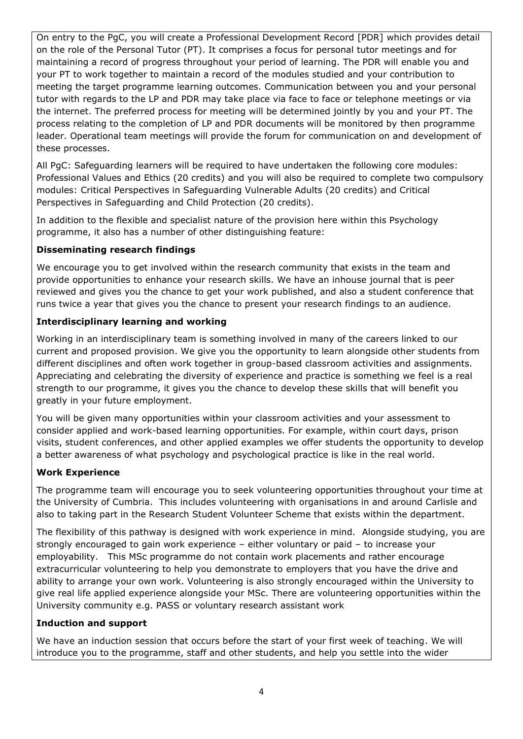On entry to the PgC, you will create a Professional Development Record [PDR] which provides detail on the role of the Personal Tutor (PT). It comprises a focus for personal tutor meetings and for maintaining a record of progress throughout your period of learning. The PDR will enable you and your PT to work together to maintain a record of the modules studied and your contribution to meeting the target programme learning outcomes. Communication between you and your personal tutor with regards to the LP and PDR may take place via face to face or telephone meetings or via the internet. The preferred process for meeting will be determined jointly by you and your PT. The process relating to the completion of LP and PDR documents will be monitored by then programme leader. Operational team meetings will provide the forum for communication on and development of these processes.

All PgC: Safeguarding learners will be required to have undertaken the following core modules: Professional Values and Ethics (20 credits) and you will also be required to complete two compulsory modules: Critical Perspectives in Safeguarding Vulnerable Adults (20 credits) and Critical Perspectives in Safeguarding and Child Protection (20 credits).

In addition to the flexible and specialist nature of the provision here within this Psychology programme, it also has a number of other distinguishing feature:

# **Disseminating research findings**

We encourage you to get involved within the research community that exists in the team and provide opportunities to enhance your research skills. We have an inhouse journal that is peer reviewed and gives you the chance to get your work published, and also a student conference that runs twice a year that gives you the chance to present your research findings to an audience.

# **Interdisciplinary learning and working**

Working in an interdisciplinary team is something involved in many of the careers linked to our current and proposed provision. We give you the opportunity to learn alongside other students from different disciplines and often work together in group-based classroom activities and assignments. Appreciating and celebrating the diversity of experience and practice is something we feel is a real strength to our programme, it gives you the chance to develop these skills that will benefit you greatly in your future employment.

You will be given many opportunities within your classroom activities and your assessment to consider applied and work-based learning opportunities. For example, within court days, prison visits, student conferences, and other applied examples we offer students the opportunity to develop a better awareness of what psychology and psychological practice is like in the real world.

# **Work Experience**

The programme team will encourage you to seek volunteering opportunities throughout your time at the University of Cumbria. This includes volunteering with organisations in and around Carlisle and also to taking part in the Research Student Volunteer Scheme that exists within the department.

The flexibility of this pathway is designed with work experience in mind. Alongside studying, you are strongly encouraged to gain work experience – either voluntary or paid – to increase your employability. This MSc programme do not contain work placements and rather encourage extracurricular volunteering to help you demonstrate to employers that you have the drive and ability to arrange your own work. Volunteering is also strongly encouraged within the University to give real life applied experience alongside your MSc. There are volunteering opportunities within the University community e.g. PASS or voluntary research assistant work

# **Induction and support**

We have an induction session that occurs before the start of your first week of teaching. We will introduce you to the programme, staff and other students, and help you settle into the wider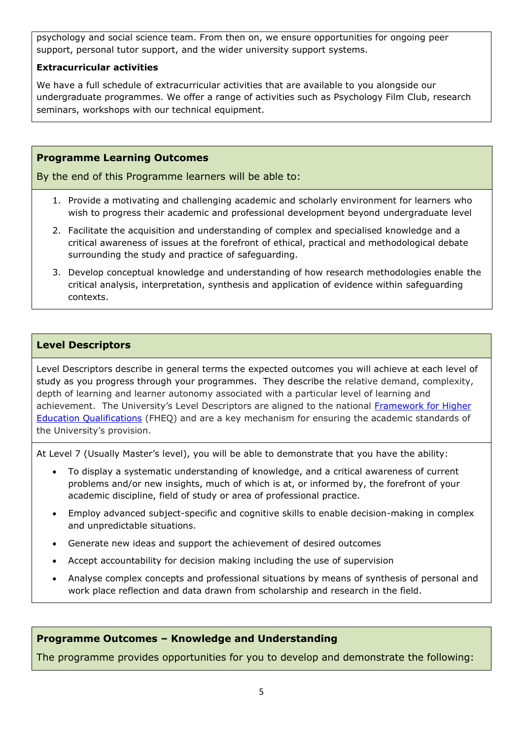psychology and social science team. From then on, we ensure opportunities for ongoing peer support, personal tutor support, and the wider university support systems.

#### **Extracurricular activities**

We have a full schedule of extracurricular activities that are available to you alongside our undergraduate programmes. We offer a range of activities such as Psychology Film Club, research seminars, workshops with our technical equipment.

# **Programme Learning Outcomes**

By the end of this Programme learners will be able to:

- 1. Provide a motivating and challenging academic and scholarly environment for learners who wish to progress their academic and professional development beyond undergraduate level
- 2. Facilitate the acquisition and understanding of complex and specialised knowledge and a critical awareness of issues at the forefront of ethical, practical and methodological debate surrounding the study and practice of safeguarding.
- 3. Develop conceptual knowledge and understanding of how research methodologies enable the critical analysis, interpretation, synthesis and application of evidence within safeguarding contexts.

# **Level Descriptors**

Level Descriptors describe in general terms the expected outcomes you will achieve at each level of study as you progress through your programmes. They describe the relative demand, complexity, depth of learning and learner autonomy associated with a particular level of learning and achievement. The University's Level Descriptors are aligned to the national Framework for Higher [Education Qualifications](http://www.qaa.ac.uk/en/Publications/Documents/qualifications-frameworks.pdf) (FHEQ) and are a key mechanism for ensuring the academic standards of the University's provision.

At Level 7 (Usually Master's level), you will be able to demonstrate that you have the ability:

- To display a systematic understanding of knowledge, and a critical awareness of current problems and/or new insights, much of which is at, or informed by, the forefront of your academic discipline, field of study or area of professional practice.
- Employ advanced subject-specific and cognitive skills to enable decision-making in complex and unpredictable situations.
- Generate new ideas and support the achievement of desired outcomes
- Accept accountability for decision making including the use of supervision
- Analyse complex concepts and professional situations by means of synthesis of personal and work place reflection and data drawn from scholarship and research in the field.

# **Programme Outcomes – Knowledge and Understanding**

The programme provides opportunities for you to develop and demonstrate the following: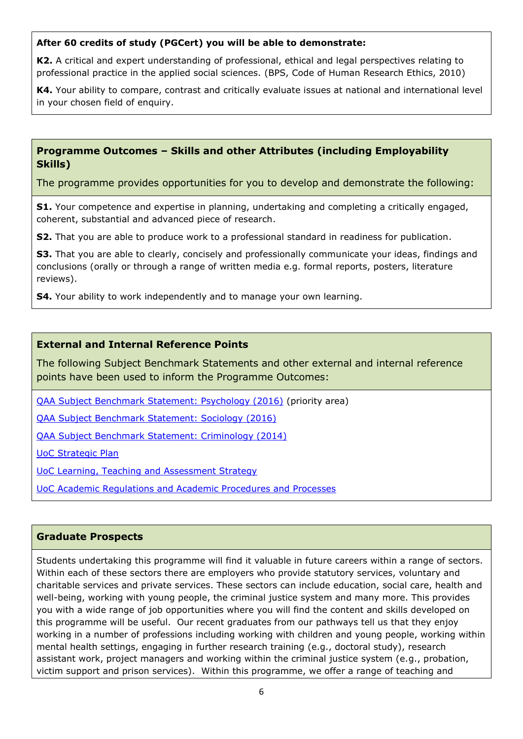#### **After 60 credits of study (PGCert) you will be able to demonstrate:**

**K2.** A critical and expert understanding of professional, ethical and legal perspectives relating to professional practice in the applied social sciences. (BPS, Code of Human Research Ethics, 2010)

**K4.** Your ability to compare, contrast and critically evaluate issues at national and international level in your chosen field of enquiry.

### **Programme Outcomes – Skills and other Attributes (including Employability Skills)**

The programme provides opportunities for you to develop and demonstrate the following:

**S1.** Your competence and expertise in planning, undertaking and completing a critically engaged, coherent, substantial and advanced piece of research.

**S2.** That you are able to produce work to a professional standard in readiness for publication.

**S3.** That you are able to clearly, concisely and professionally communicate your ideas, findings and conclusions (orally or through a range of written media e.g. formal reports, posters, literature reviews).

**S4.** Your ability to work independently and to manage your own learning.

#### **External and Internal Reference Points**

The following Subject Benchmark Statements and other external and internal reference points have been used to inform the Programme Outcomes:

[QAA Subject Benchmark Statement: Psychology \(2016\)](https://www.qaa.ac.uk/docs/qaa/subject-benchmark-statements/sbs-psychology-16.pdf?sfvrsn=af95f781_8) (priority area)

[QAA Subject Benchmark Statement: Sociology \(2016\)](https://www.qaa.ac.uk/docs/qaa/subject-benchmark-statements/sbs-sociology-16.pdf?sfvrsn=e696f781_12)

[QAA Subject Benchmark Statement: Criminology \(2014\)](https://www.qaa.ac.uk/docs/qaa/subject-benchmark-statements/sbs-criminology-14.pdf?sfvrsn=b3e2f781_10)

[UoC Strategic Plan](https://www.cumbria.ac.uk/about/publications/strategic-plan/)

[UoC Learning, Teaching and Assessment Strategy](https://www.cumbria.ac.uk/media/university-of-cumbria-website/content-assets/public/aqs/documents/LearningTeachingAssessmentStrategy.pdf)

[UoC Academic Regulations and Academic Procedures and Processes](https://www.cumbria.ac.uk/about/organisation/professional-services/academic-quality-and-development/academic-regulations/)

#### **Graduate Prospects**

Students undertaking this programme will find it valuable in future careers within a range of sectors. Within each of these sectors there are employers who provide statutory services, voluntary and charitable services and private services. These sectors can include education, social care, health and well-being, working with young people, the criminal justice system and many more. This provides you with a wide range of job opportunities where you will find the content and skills developed on this programme will be useful. Our recent graduates from our pathways tell us that they enjoy working in a number of professions including working with children and young people, working within mental health settings, engaging in further research training (e.g., doctoral study), research assistant work, project managers and working within the criminal justice system (e.g., probation, victim support and prison services). Within this programme, we offer a range of teaching and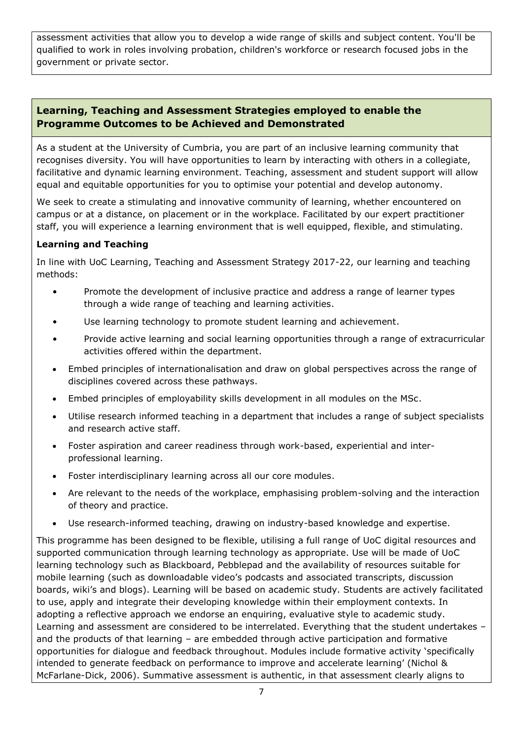assessment activities that allow you to develop a wide range of skills and subject content. You'll be qualified to work in roles involving probation, children's workforce or research focused jobs in the government or private sector.

# **Learning, Teaching and Assessment Strategies employed to enable the Programme Outcomes to be Achieved and Demonstrated**

As a student at the University of Cumbria, you are part of an inclusive learning community that recognises diversity. You will have opportunities to learn by interacting with others in a collegiate, facilitative and dynamic learning environment. Teaching, assessment and student support will allow equal and equitable opportunities for you to optimise your potential and develop autonomy.

We seek to create a stimulating and innovative community of learning, whether encountered on campus or at a distance, on placement or in the workplace. Facilitated by our expert practitioner staff, you will experience a learning environment that is well equipped, flexible, and stimulating.

# **Learning and Teaching**

In line with UoC Learning, Teaching and Assessment Strategy 2017-22, our learning and teaching methods:

- Promote the development of inclusive practice and address a range of learner types through a wide range of teaching and learning activities.
- Use learning technology to promote student learning and achievement.
- Provide active learning and social learning opportunities through a range of extracurricular activities offered within the department.
- Embed principles of internationalisation and draw on global perspectives across the range of disciplines covered across these pathways.
- Embed principles of employability skills development in all modules on the MSc.
- Utilise research informed teaching in a department that includes a range of subject specialists and research active staff.
- Foster aspiration and career readiness through work-based, experiential and interprofessional learning.
- Foster interdisciplinary learning across all our core modules.
- Are relevant to the needs of the workplace, emphasising problem-solving and the interaction of theory and practice.
- Use research-informed teaching, drawing on industry-based knowledge and expertise.

This programme has been designed to be flexible, utilising a full range of UoC digital resources and supported communication through learning technology as appropriate. Use will be made of UoC learning technology such as Blackboard, Pebblepad and the availability of resources suitable for mobile learning (such as downloadable video's podcasts and associated transcripts, discussion boards, wiki's and blogs). Learning will be based on academic study. Students are actively facilitated to use, apply and integrate their developing knowledge within their employment contexts. In adopting a reflective approach we endorse an enquiring, evaluative style to academic study. Learning and assessment are considered to be interrelated. Everything that the student undertakes – and the products of that learning – are embedded through active participation and formative opportunities for dialogue and feedback throughout. Modules include formative activity 'specifically intended to generate feedback on performance to improve and accelerate learning' (Nichol & McFarlane-Dick, 2006). Summative assessment is authentic, in that assessment clearly aligns to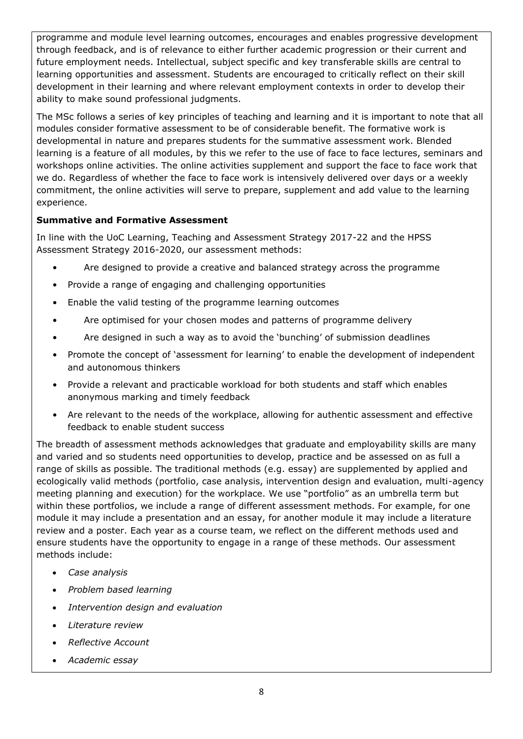programme and module level learning outcomes, encourages and enables progressive development through feedback, and is of relevance to either further academic progression or their current and future employment needs. Intellectual, subject specific and key transferable skills are central to learning opportunities and assessment. Students are encouraged to critically reflect on their skill development in their learning and where relevant employment contexts in order to develop their ability to make sound professional judgments.

The MSc follows a series of key principles of teaching and learning and it is important to note that all modules consider formative assessment to be of considerable benefit. The formative work is developmental in nature and prepares students for the summative assessment work. Blended learning is a feature of all modules, by this we refer to the use of face to face lectures, seminars and workshops online activities. The online activities supplement and support the face to face work that we do. Regardless of whether the face to face work is intensively delivered over days or a weekly commitment, the online activities will serve to prepare, supplement and add value to the learning experience.

# **Summative and Formative Assessment**

In line with the UoC Learning, Teaching and Assessment Strategy 2017-22 and the HPSS Assessment Strategy 2016-2020, our assessment methods:

- Are designed to provide a creative and balanced strategy across the programme
- Provide a range of engaging and challenging opportunities
- Enable the valid testing of the programme learning outcomes
- Are optimised for your chosen modes and patterns of programme delivery
- Are designed in such a way as to avoid the 'bunching' of submission deadlines
- Promote the concept of 'assessment for learning' to enable the development of independent and autonomous thinkers
- Provide a relevant and practicable workload for both students and staff which enables anonymous marking and timely feedback
- Are relevant to the needs of the workplace, allowing for authentic assessment and effective feedback to enable student success

The breadth of assessment methods acknowledges that graduate and employability skills are many and varied and so students need opportunities to develop, practice and be assessed on as full a range of skills as possible. The traditional methods (e.g. essay) are supplemented by applied and ecologically valid methods (portfolio, case analysis, intervention design and evaluation, multi-agency meeting planning and execution) for the workplace. We use "portfolio" as an umbrella term but within these portfolios, we include a range of different assessment methods. For example, for one module it may include a presentation and an essay, for another module it may include a literature review and a poster. Each year as a course team, we reflect on the different methods used and ensure students have the opportunity to engage in a range of these methods. Our assessment methods include:

- *Case analysis*
- *Problem based learning*
- *Intervention design and evaluation*
- *Literature review*
- *Reflective Account*
- *Academic essay*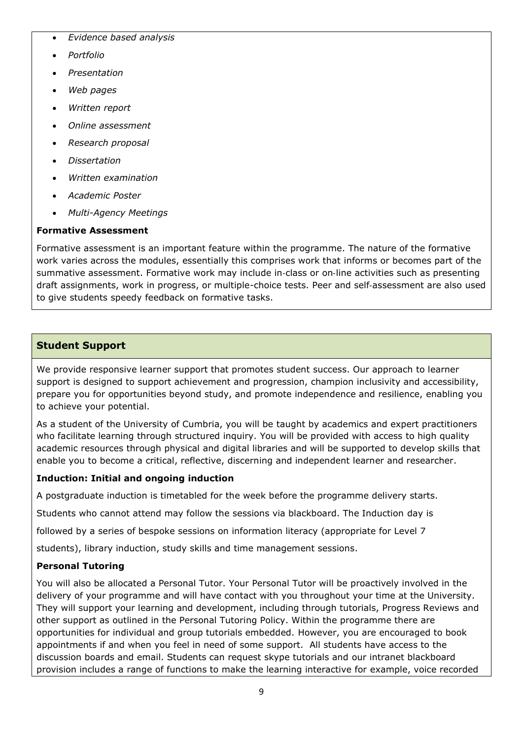- *Evidence based analysis*
- *Portfolio*
- *Presentation*
- *Web pages*
- *Written report*
- *Online assessment*
- *Research proposal*
- *Dissertation*
- *Written examination*
- *Academic Poster*
- *Multi-Agency Meetings*

# **Formative Assessment**

Formative assessment is an important feature within the programme. The nature of the formative work varies across the modules, essentially this comprises work that informs or becomes part of the summative assessment. Formative work may include in-class or on-line activities such as presenting draft assignments, work in progress, or multiple-choice tests. Peer and self‐assessment are also used to give students speedy feedback on formative tasks.

# **Student Support**

We provide responsive learner support that promotes student success. Our approach to learner support is designed to support achievement and progression, champion inclusivity and accessibility, prepare you for opportunities beyond study, and promote independence and resilience, enabling you to achieve your potential.

As a student of the University of Cumbria, you will be taught by academics and expert practitioners who facilitate learning through structured inquiry. You will be provided with access to high quality academic resources through physical and digital libraries and will be supported to develop skills that enable you to become a critical, reflective, discerning and independent learner and researcher.

# **Induction: Initial and ongoing induction**

A postgraduate induction is timetabled for the week before the programme delivery starts.

Students who cannot attend may follow the sessions via blackboard. The Induction day is

followed by a series of bespoke sessions on information literacy (appropriate for Level 7

students), library induction, study skills and time management sessions.

# **Personal Tutoring**

You will also be allocated a Personal Tutor. Your Personal Tutor will be proactively involved in the delivery of your programme and will have contact with you throughout your time at the University. They will support your learning and development, including through tutorials, Progress Reviews and other support as outlined in the Personal Tutoring Policy. Within the programme there are opportunities for individual and group tutorials embedded. However, you are encouraged to book appointments if and when you feel in need of some support. All students have access to the discussion boards and email. Students can request skype tutorials and our intranet blackboard provision includes a range of functions to make the learning interactive for example, voice recorded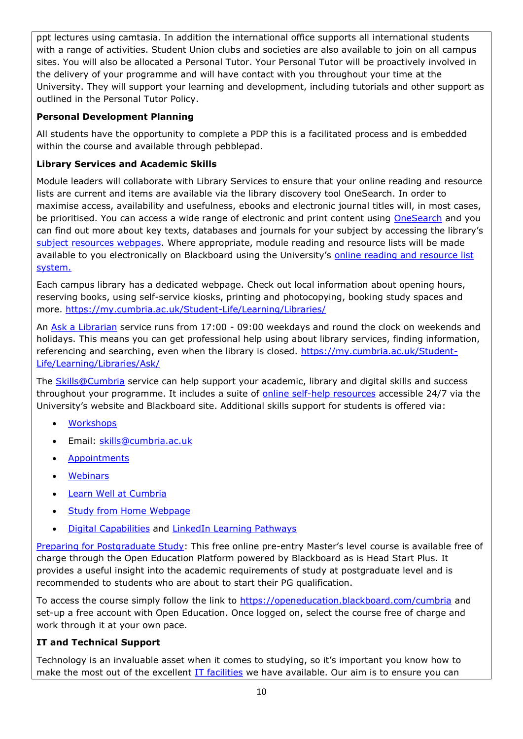ppt lectures using camtasia. In addition the international office supports all international students with a range of activities. Student Union clubs and societies are also available to join on all campus sites. You will also be allocated a Personal Tutor. Your Personal Tutor will be proactively involved in the delivery of your programme and will have contact with you throughout your time at the University. They will support your learning and development, including tutorials and other support as outlined in the Personal Tutor Policy.

# **Personal Development Planning**

All students have the opportunity to complete a PDP this is a facilitated process and is embedded within the course and available through pebblepad.

## **Library Services and Academic Skills**

Module leaders will collaborate with Library Services to ensure that your online reading and resource lists are current and items are available via the library discovery tool OneSearch. In order to maximise access, availability and usefulness, ebooks and electronic journal titles will, in most cases, be prioritised. You can access a wide range of electronic and print content using [OneSearch](http://cumbria-primo.hosted.exlibrisgroup.com/primo_library/libweb/action/search.do?vid=44UOC_VU1) and you can find out more about key texts, databases and journals for your subject by accessing the library's [subject resources webpages.](http://my.cumbria.ac.uk/StudentLife/Learning/Resources/Subjects/Home.aspx) Where appropriate, module reading and resource lists will be made available to you electronically on Blackboard using the University's online reading and resource list [system.](https://eu.alma.exlibrisgroup.com/leganto/readinglist/lists)

Each campus library has a dedicated webpage. Check out local information about opening hours, reserving books, using self-service kiosks, printing and photocopying, booking study spaces and more.<https://my.cumbria.ac.uk/Student-Life/Learning/Libraries/>

An [Ask a Librarian](https://my.cumbria.ac.uk/Student-Life/Learning/Libraries/Ask/) service runs from 17:00 - 09:00 weekdays and round the clock on weekends and holidays. This means you can get professional help using about library services, finding information, referencing and searching, even when the library is closed. [https://my.cumbria.ac.uk/Student-](https://my.cumbria.ac.uk/Student-Life/Learning/Libraries/Ask/)[Life/Learning/Libraries/Ask/](https://my.cumbria.ac.uk/Student-Life/Learning/Libraries/Ask/)

The [Skills@Cumbria](https://my.cumbria.ac.uk/Student-Life/Learning/Skills-Cumbria/) service can help support your academic, library and digital skills and success throughout your programme. It includes a suite of [online self-help resources](https://my.cumbria.ac.uk/Student-Life/Learning/Skills-Cumbria/) accessible 24/7 via the University's website and Blackboard site. Additional skills support for students is offered via:

- **[Workshops](https://my.cumbria.ac.uk/Student-Life/Learning/Skills-Cumbria/Need-more-help/)**
- Email: [skills@cumbria.ac.uk](mailto:skills@cumbria.ac.uk)
- [Appointments](https://my.cumbria.ac.uk/Student-Life/Learning/Skills-Cumbria/Need-more-help/)
- [Webinars](https://my.cumbria.ac.uk/Student-Life/Learning/Skills-Cumbria/Need-more-help/)
- [Learn Well at Cumbria](https://my.cumbria.ac.uk/Student-Life/Learning/Skills-Cumbria/Learn-Well-at-Cumbria/)
- [Study from Home Webpage](https://my.cumbria.ac.uk/Student-Life/Learning/Resources/Studying-from-home/)
- [Digital Capabilities](https://my.cumbria.ac.uk/Digital-Capability/) and [LinkedIn Learning Pathways](https://my.cumbria.ac.uk/Student-Life/Learning/Linkedin-Learning/Digital-Capabilities-Pathways/)

[Preparing for Postgraduate Study:](https://my.cumbria.ac.uk/Student-Life/Learning/Resources/Blackboard-Open-Education/) This free online pre-entry Master's level course is available free of charge through the Open Education Platform powered by Blackboard as is Head Start Plus. It provides a useful insight into the academic requirements of study at postgraduate level and is recommended to students who are about to start their PG qualification.

To access the course simply follow the link to<https://openeducation.blackboard.com/cumbria> and set-up a free account with Open Education. Once logged on, select the course free of charge and work through it at your own pace.

#### **IT and Technical Support**

Technology is an invaluable asset when it comes to studying, so it's important you know how to make the most out of the excellent **IT facilities** we have available. Our aim is to ensure you can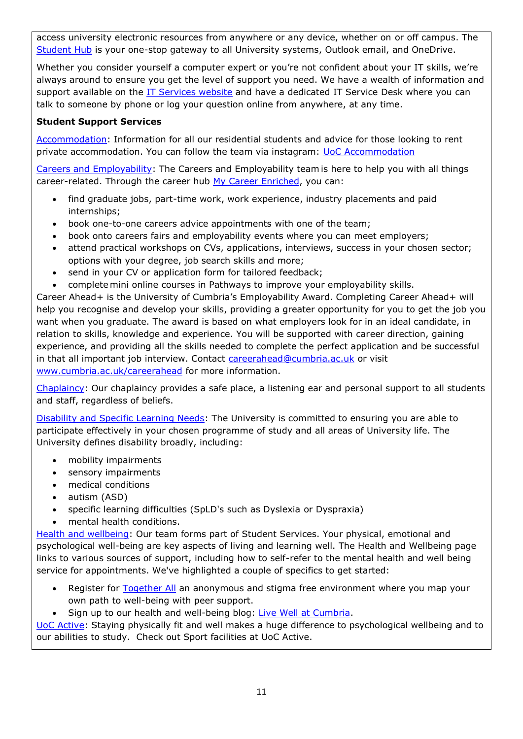access university electronic resources from anywhere or any device, whether on or off campus. The [Student Hub](https://hub.cumbria.ac.uk/dashboard/student) is your one-stop gateway to all University systems, Outlook email, and OneDrive.

Whether you consider yourself a computer expert or you're not confident about your IT skills, we're always around to ensure you get the level of support you need. We have a wealth of information and support available on the [IT Services website](https://my.cumbria.ac.uk/Student-Life/it-media/) and have a dedicated IT Service Desk where you can talk to someone by phone or log your question online from anywhere, at any time.

# **Student Support Services**

[Accommodation:](https://www.cumbria.ac.uk/student-life/accommodation/) Information for all our residential students and advice for those looking to rent private accommodation. You can follow the team via instagram: [UoC Accommodation](https://my.cumbria.ac.uk/Student-Life/careers/Current-Students/)

[Careers and Employability](https://my.cumbria.ac.uk/Student-Life/careers/): The Careers and Employability team is here to help you with all things career-related. Through the career hub [My Career Enriched,](https://mycareerenriched.cumbria.ac.uk/student/home.html) you can:

- find graduate jobs, part-time work, work experience, industry placements and paid internships;
- book one-to-one careers advice appointments with one of the team;
- book onto careers fairs and employability events where you can meet employers;
- attend practical workshops on CVs, applications, interviews, success in your chosen sector; options with your degree, job search skills and more;
- send in your CV or application form for tailored feedback;
- complete mini online courses in Pathways to improve your employability skills.

Career Ahead+ is the University of Cumbria's Employability Award. Completing Career Ahead+ will help you recognise and develop your skills, providing a greater opportunity for you to get the job you want when you graduate. The award is based on what employers look for in an ideal candidate, in relation to skills, knowledge and experience. You will be supported with career direction, gaining experience, and providing all the skills needed to complete the perfect application and be successful in that all important job interview. Contact [careerahead@cumbria.ac.uk](mailto:careerahead@cumbria.ac.uk) or visit [www.cumbria.ac.uk/careerahead](http://www.cumbria.ac.uk/careerahead) for more information.

[Chaplaincy:](https://www.cumbria.ac.uk/student-life/student-support/chaplaincy/) Our chaplaincy provides a safe place, a listening ear and personal support to all students and staff, regardless of beliefs.

[Disability and Specific Learning Needs:](https://my.cumbria.ac.uk/Student-Life/Support/Disability/) The University is committed to ensuring you are able to participate effectively in your chosen programme of study and all areas of University life. The University defines disability broadly, including:

- mobility impairments
- sensory impairments
- medical conditions
- autism (ASD)
- specific learning difficulties (SpLD's such as Dyslexia or Dyspraxia)
- mental health conditions.

[Health and wellbeing:](https://my.cumbria.ac.uk/Student-Life/Health-and-Wellbeing/) Our team forms part of Student Services. Your physical, emotional and psychological well-being are key aspects of living and learning well. The Health and Wellbeing page links to various sources of support, including how to self-refer to the mental health and well being service for appointments. We've highlighted a couple of specifics to get started:

- Register for [Together All](https://my.cumbria.ac.uk/Student-Life/Health-and-Wellbeing/Big-White-Wall/) an anonymous and stigma free environment where you map your own path to well-being with peer support.
- Sign up to our health and well-being blog: [Live Well at Cumbria.](https://livewellcumbriaunihome.wordpress.com/)

[UoC Active:](https://www.cumbria.ac.uk/student-life/facilities/sports/) Staying physically fit and well makes a huge difference to psychological wellbeing and to our abilities to study. Check out Sport facilities at UoC Active.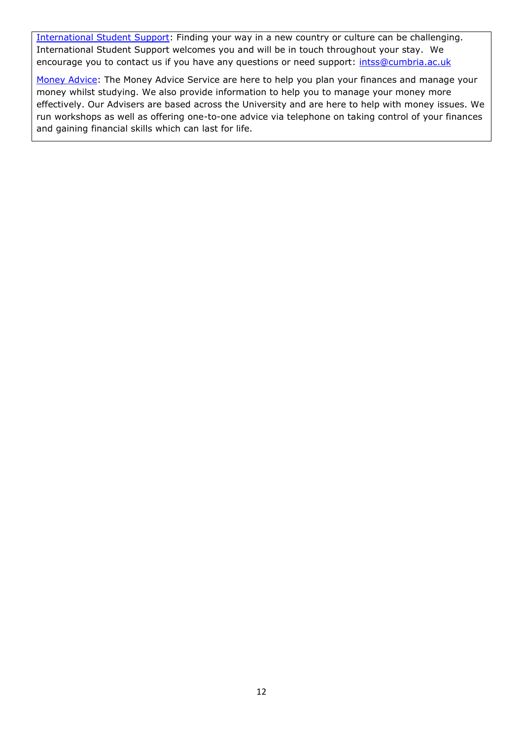[International Student](https://www.cumbria.ac.uk/study/international-students/) Support: Finding your way in a new country or culture can be challenging. International Student Support welcomes you and will be in touch throughout your stay. We encourage you to contact us if you have any questions or need support: [intss@cumbria.ac.uk](mailto:intss@cumbria.ac.uk)

[Money Advice:](https://my.cumbria.ac.uk/Student-Life/Money--Finance/Money-Doctors/) The Money Advice Service are here to help you plan your finances and manage your money whilst studying. We also provide information to help you to manage your money more effectively. Our Advisers are based across the University and are here to help with money issues. We run workshops as well as offering one-to-one advice via telephone on taking control of your finances and gaining financial skills which can last for life.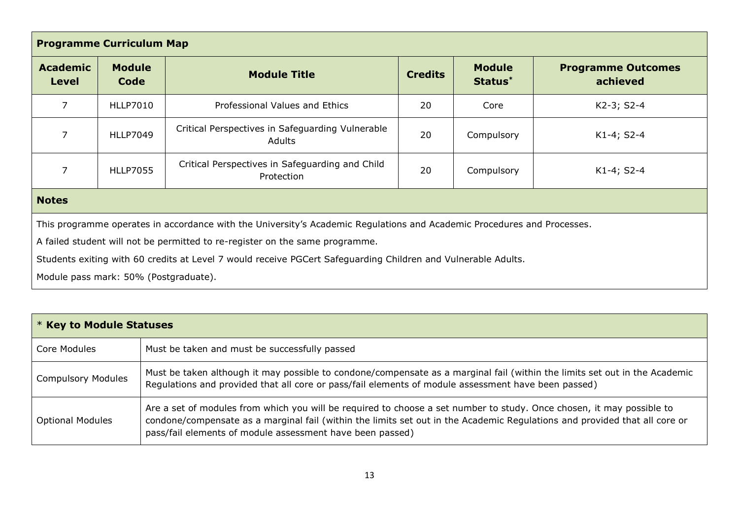| <b>Programme Curriculum Map</b>                                                                                         |                       |                                                               |                |                          |                                       |
|-------------------------------------------------------------------------------------------------------------------------|-----------------------|---------------------------------------------------------------|----------------|--------------------------|---------------------------------------|
| <b>Academic</b><br><b>Level</b>                                                                                         | <b>Module</b><br>Code | <b>Module Title</b>                                           | <b>Credits</b> | <b>Module</b><br>Status* | <b>Programme Outcomes</b><br>achieved |
| $\overline{7}$                                                                                                          | <b>HLLP7010</b>       | Professional Values and Ethics                                | 20             | Core                     | K2-3; S2-4                            |
| $\overline{7}$                                                                                                          | <b>HLLP7049</b>       | Critical Perspectives in Safeguarding Vulnerable<br>Adults    | 20             | Compulsory               | K1-4; S2-4                            |
| 7                                                                                                                       | <b>HLLP7055</b>       | Critical Perspectives in Safeguarding and Child<br>Protection | 20             | Compulsory               | K1-4; S2-4                            |
| <b>Notes</b>                                                                                                            |                       |                                                               |                |                          |                                       |
| This programme operates in accordance with the University's Academic Regulations and Academic Procedures and Processes. |                       |                                                               |                |                          |                                       |
| A failed student will not be permitted to re-register on the same programme.                                            |                       |                                                               |                |                          |                                       |
| Students exiting with 60 credits at Level 7 would receive PGCert Safeguarding Children and Vulnerable Adults.           |                       |                                                               |                |                          |                                       |
| Module pass mark: 50% (Postgraduate).                                                                                   |                       |                                                               |                |                          |                                       |

| $*$ Key to Module Statuses |                                                                                                                                                                                                                                                                                                                  |  |  |
|----------------------------|------------------------------------------------------------------------------------------------------------------------------------------------------------------------------------------------------------------------------------------------------------------------------------------------------------------|--|--|
| Core Modules               | Must be taken and must be successfully passed                                                                                                                                                                                                                                                                    |  |  |
| <b>Compulsory Modules</b>  | Must be taken although it may possible to condone/compensate as a marginal fail (within the limits set out in the Academic<br>Regulations and provided that all core or pass/fail elements of module assessment have been passed)                                                                                |  |  |
| <b>Optional Modules</b>    | Are a set of modules from which you will be required to choose a set number to study. Once chosen, it may possible to<br>condone/compensate as a marginal fail (within the limits set out in the Academic Regulations and provided that all core or<br>pass/fail elements of module assessment have been passed) |  |  |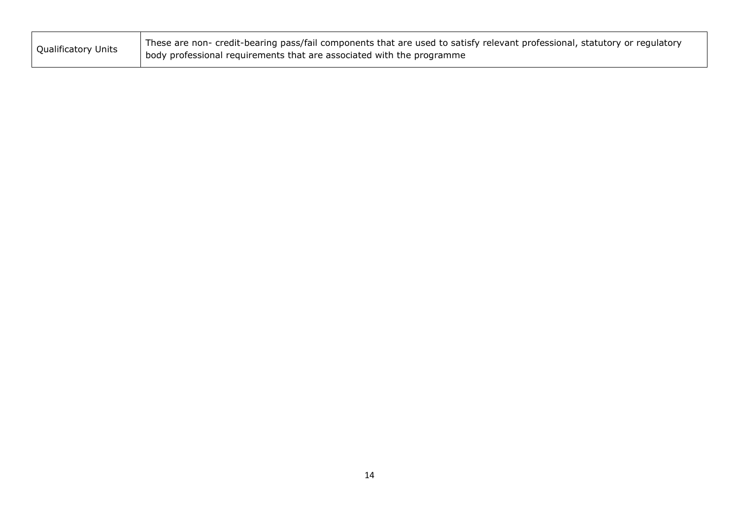| <b>Qualificatory Units</b> | These are non- credit-bearing pass/fail components that are used to satisfy relevant professional, statutory or regulatory |
|----------------------------|----------------------------------------------------------------------------------------------------------------------------|
|                            | body professional requirements that are associated with the programme                                                      |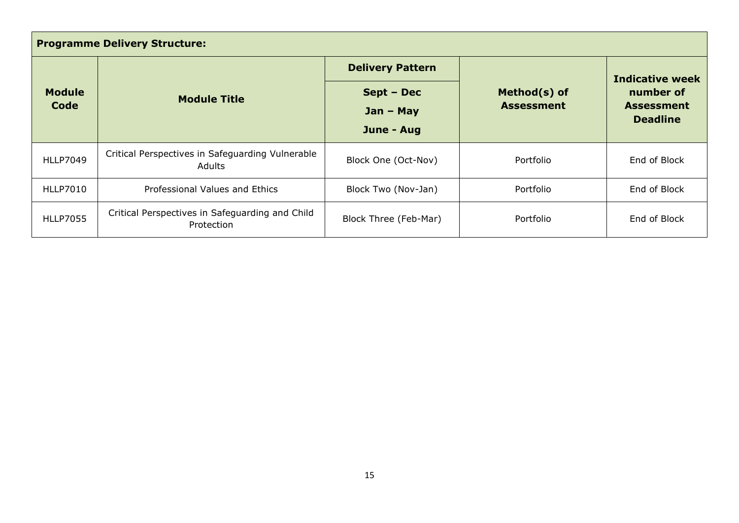| <b>Programme Delivery Structure:</b> |                                                                   |                                                                              |           |                                                   |  |
|--------------------------------------|-------------------------------------------------------------------|------------------------------------------------------------------------------|-----------|---------------------------------------------------|--|
|                                      |                                                                   | <b>Delivery Pattern</b>                                                      |           | <b>Indicative week</b>                            |  |
| <b>Module</b><br>Code                | <b>Module Title</b>                                               | Method(s) of<br>Sept - Dec<br><b>Assessment</b><br>$Jan - May$<br>June - Aug |           | number of<br><b>Assessment</b><br><b>Deadline</b> |  |
| <b>HLLP7049</b>                      | Critical Perspectives in Safeguarding Vulnerable<br><b>Adults</b> | Block One (Oct-Nov)                                                          | Portfolio | End of Block                                      |  |
| <b>HLLP7010</b>                      | Professional Values and Ethics                                    | Block Two (Nov-Jan)                                                          | Portfolio | End of Block                                      |  |
| <b>HLLP7055</b>                      | Critical Perspectives in Safeguarding and Child<br>Protection     | Block Three (Feb-Mar)                                                        | Portfolio | End of Block                                      |  |